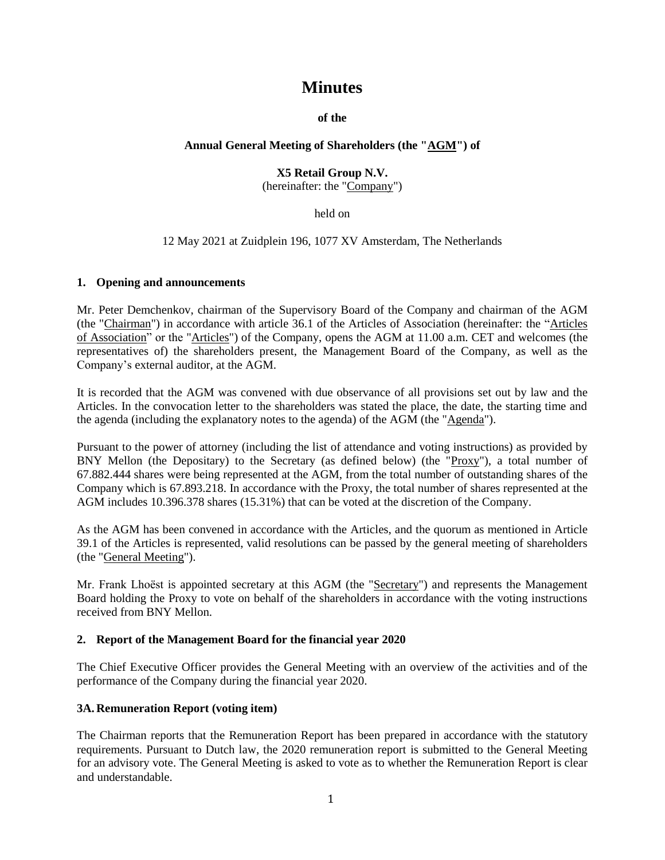# **Minutes**

**of the**

# **Annual General Meeting of Shareholders (the "AGM") of**

# **X5 Retail Group N.V.** (hereinafter: the "Company")

held on

12 May 2021 at Zuidplein 196, 1077 XV Amsterdam, The Netherlands

#### **1. Opening and announcements**

Mr. Peter Demchenkov, chairman of the Supervisory Board of the Company and chairman of the AGM (the "Chairman") in accordance with article 36.1 of the Articles of Association (hereinafter: the "Articles of Association" or the "Articles") of the Company, opens the AGM at 11.00 a.m. CET and welcomes (the representatives of) the shareholders present, the Management Board of the Company, as well as the Company's external auditor, at the AGM.

It is recorded that the AGM was convened with due observance of all provisions set out by law and the Articles. In the convocation letter to the shareholders was stated the place, the date, the starting time and the agenda (including the explanatory notes to the agenda) of the AGM (the "Agenda").

Pursuant to the power of attorney (including the list of attendance and voting instructions) as provided by BNY Mellon (the Depositary) to the Secretary (as defined below) (the "Proxy"), a total number of 67.882.444 shares were being represented at the AGM, from the total number of outstanding shares of the Company which is 67.893.218. In accordance with the Proxy, the total number of shares represented at the AGM includes 10.396.378 shares (15.31%) that can be voted at the discretion of the Company.

As the AGM has been convened in accordance with the Articles, and the quorum as mentioned in Article 39.1 of the Articles is represented, valid resolutions can be passed by the general meeting of shareholders (the "General Meeting").

Mr. Frank Lhoëst is appointed secretary at this AGM (the "Secretary") and represents the Management Board holding the Proxy to vote on behalf of the shareholders in accordance with the voting instructions received from BNY Mellon.

# **2. Report of the Management Board for the financial year 2020**

The Chief Executive Officer provides the General Meeting with an overview of the activities and of the performance of the Company during the financial year 2020.

# **3A. Remuneration Report (voting item)**

The Chairman reports that the Remuneration Report has been prepared in accordance with the statutory requirements. Pursuant to Dutch law, the 2020 remuneration report is submitted to the General Meeting for an advisory vote. The General Meeting is asked to vote as to whether the Remuneration Report is clear and understandable.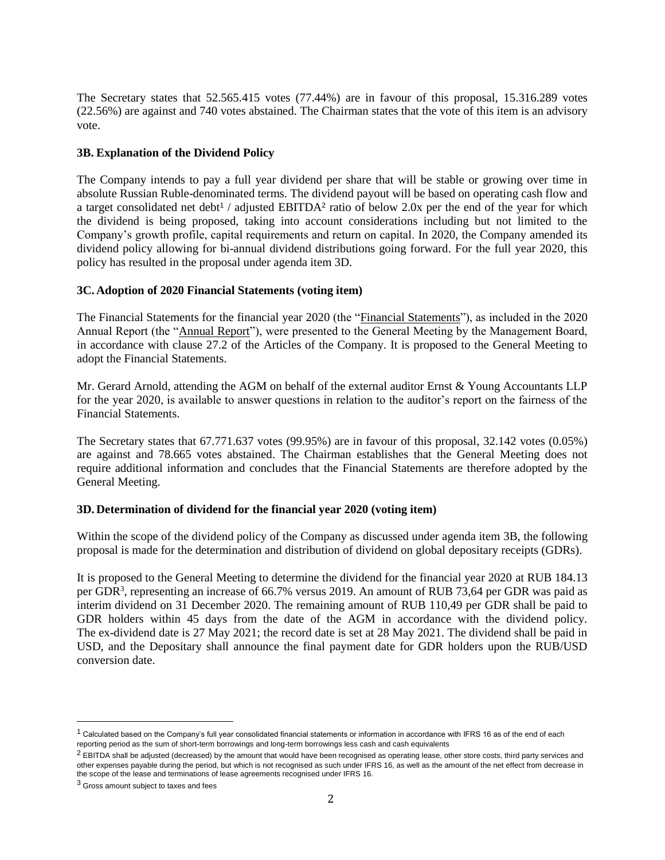The Secretary states that 52.565.415 votes (77.44%) are in favour of this proposal, 15.316.289 votes (22.56%) are against and 740 votes abstained. The Chairman states that the vote of this item is an advisory vote.

# **3B. Explanation of the Dividend Policy**

The Company intends to pay a full year dividend per share that will be stable or growing over time in absolute Russian Ruble-denominated terms. The dividend payout will be based on operating cash flow and a target consolidated net debt<sup>1</sup> / adjusted EBITDA<sup>2</sup> ratio of below 2.0x per the end of the year for which the dividend is being proposed, taking into account considerations including but not limited to the Company's growth profile, capital requirements and return on capital. In 2020, the Company amended its dividend policy allowing for bi-annual dividend distributions going forward. For the full year 2020, this policy has resulted in the proposal under agenda item 3D.

# **3C. Adoption of 2020 Financial Statements (voting item)**

The Financial Statements for the financial year 2020 (the "Financial Statements"), as included in the 2020 Annual Report (the "Annual Report"), were presented to the General Meeting by the Management Board, in accordance with clause 27.2 of the Articles of the Company. It is proposed to the General Meeting to adopt the Financial Statements.

Mr. Gerard Arnold, attending the AGM on behalf of the external auditor Ernst & Young Accountants LLP for the year 2020, is available to answer questions in relation to the auditor's report on the fairness of the Financial Statements.

The Secretary states that 67.771.637 votes (99.95%) are in favour of this proposal, 32.142 votes (0.05%) are against and 78.665 votes abstained. The Chairman establishes that the General Meeting does not require additional information and concludes that the Financial Statements are therefore adopted by the General Meeting.

# **3D. Determination of dividend for the financial year 2020 (voting item)**

Within the scope of the dividend policy of the Company as discussed under agenda item 3B, the following proposal is made for the determination and distribution of dividend on global depositary receipts (GDRs).

It is proposed to the General Meeting to determine the dividend for the financial year 2020 at RUB 184.13 per GDR<sup>3</sup>, representing an increase of 66.7% versus 2019. An amount of RUB 73,64 per GDR was paid as interim dividend on 31 December 2020. The remaining amount of RUB 110,49 per GDR shall be paid to GDR holders within 45 days from the date of the AGM in accordance with the dividend policy. The ex-dividend date is 27 May 2021; the record date is set at 28 May 2021. The dividend shall be paid in USD, and the Depositary shall announce the final payment date for GDR holders upon the RUB/USD conversion date.

 $1$  Calculated based on the Company's full year consolidated financial statements or information in accordance with IFRS 16 as of the end of each reporting period as the sum of short-term borrowings and long-term borrowings less cash and cash equivalents

 $^2$  EBITDA shall be adjusted (decreased) by the amount that would have been recognised as operating lease, other store costs, third party services and other expenses payable during the period, but which is not recognised as such under IFRS 16, as well as the amount of the net effect from decrease in the scope of the lease and terminations of lease agreements recognised under IFRS 16.

<sup>3</sup> Gross amount subject to taxes and fees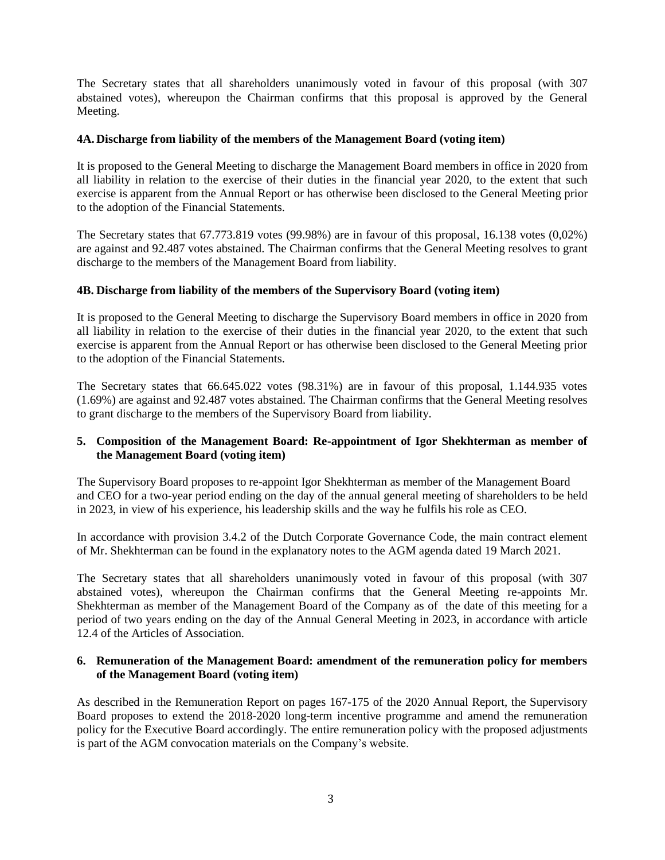The Secretary states that all shareholders unanimously voted in favour of this proposal (with 307 abstained votes), whereupon the Chairman confirms that this proposal is approved by the General Meeting.

# **4A. Discharge from liability of the members of the Management Board (voting item)**

It is proposed to the General Meeting to discharge the Management Board members in office in 2020 from all liability in relation to the exercise of their duties in the financial year 2020, to the extent that such exercise is apparent from the Annual Report or has otherwise been disclosed to the General Meeting prior to the adoption of the Financial Statements.

The Secretary states that 67.773.819 votes (99.98%) are in favour of this proposal, 16.138 votes (0,02%) are against and 92.487 votes abstained. The Chairman confirms that the General Meeting resolves to grant discharge to the members of the Management Board from liability.

# **4B. Discharge from liability of the members of the Supervisory Board (voting item)**

It is proposed to the General Meeting to discharge the Supervisory Board members in office in 2020 from all liability in relation to the exercise of their duties in the financial year 2020, to the extent that such exercise is apparent from the Annual Report or has otherwise been disclosed to the General Meeting prior to the adoption of the Financial Statements.

The Secretary states that 66.645.022 votes (98.31%) are in favour of this proposal, 1.144.935 votes (1.69%) are against and 92.487 votes abstained. The Chairman confirms that the General Meeting resolves to grant discharge to the members of the Supervisory Board from liability.

# **5. Composition of the Management Board: Re-appointment of Igor Shekhterman as member of the Management Board (voting item)**

The Supervisory Board proposes to re-appoint Igor Shekhterman as member of the Management Board and CEO for a two-year period ending on the day of the annual general meeting of shareholders to be held in 2023, in view of his experience, his leadership skills and the way he fulfils his role as CEO.

In accordance with provision 3.4.2 of the Dutch Corporate Governance Code, the main contract element of Mr. Shekhterman can be found in the explanatory notes to the AGM agenda dated 19 March 2021.

The Secretary states that all shareholders unanimously voted in favour of this proposal (with 307 abstained votes), whereupon the Chairman confirms that the General Meeting re-appoints Mr. Shekhterman as member of the Management Board of the Company as of the date of this meeting for a period of two years ending on the day of the Annual General Meeting in 2023, in accordance with article 12.4 of the Articles of Association.

#### **6. Remuneration of the Management Board: amendment of the remuneration policy for members of the Management Board (voting item)**

As described in the Remuneration Report on pages 167-175 of the 2020 Annual Report, the Supervisory Board proposes to extend the 2018-2020 long-term incentive programme and amend the remuneration policy for the Executive Board accordingly. The entire remuneration policy with the proposed adjustments is part of the AGM convocation materials on the Company's website.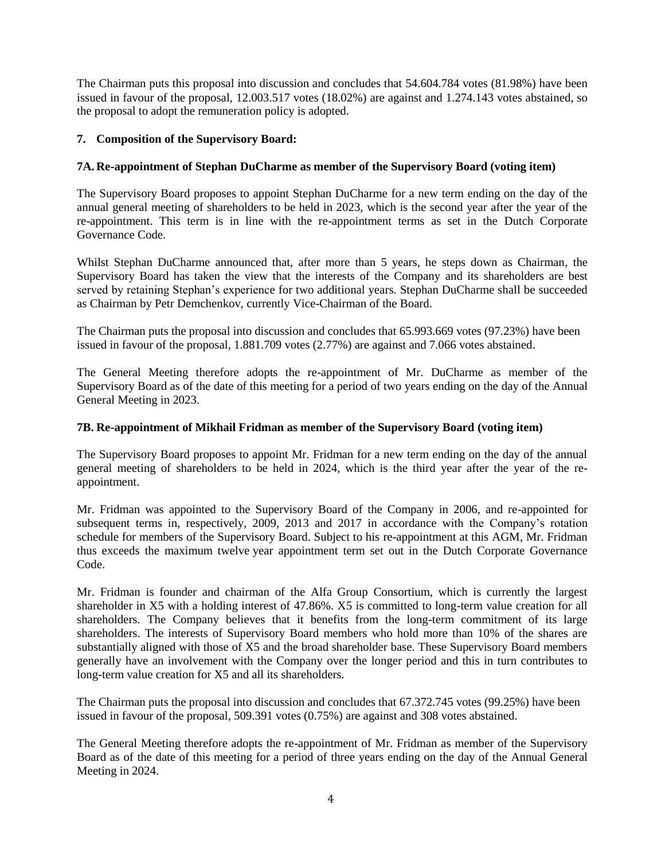The Chairman puts this proposal into discussion and concludes that 54.604.784 votes (81.98%) have been issued in favour of the proposal, 12.003.517 votes (18.02%) are against and 1.274.143 votes abstained, so the proposal to adopt the remuneration policy is adopted.

# **7. Composition of the Supervisory Board:**

# **7A. Re-appointment of Stephan DuCharme as member of the Supervisory Board (voting item)**

The Supervisory Board proposes to appoint Stephan DuCharme for a new term ending on the day of the annual general meeting of shareholders to be held in 2023, which is the second year after the year of the re-appointment. This term is in line with the re-appointment terms as set in the Dutch Corporate Governance Code.

Whilst Stephan DuCharme announced that, after more than 5 years, he steps down as Chairman, the Supervisory Board has taken the view that the interests of the Company and its shareholders are best served by retaining Stephan's experience for two additional years. Stephan DuCharme shall be succeeded as Chairman by Petr Demchenkov, currently Vice-Chairman of the Board.

The Chairman puts the proposal into discussion and concludes that 65.993.669 votes (97.23%) have been issued in favour of the proposal, 1.881.709 votes (2.77%) are against and 7.066 votes abstained.

The General Meeting therefore adopts the re-appointment of Mr. DuCharme as member of the Supervisory Board as of the date of this meeting for a period of two years ending on the day of the Annual General Meeting in 2023.

# **7B. Re-appointment of Mikhail Fridman as member of the Supervisory Board (voting item)**

The Supervisory Board proposes to appoint Mr. Fridman for a new term ending on the day of the annual general meeting of shareholders to be held in 2024, which is the third year after the year of the reappointment.

Mr. Fridman was appointed to the Supervisory Board of the Company in 2006, and re-appointed for subsequent terms in, respectively, 2009, 2013 and 2017 in accordance with the Company's rotation schedule for members of the Supervisory Board. Subject to his re-appointment at this AGM, Mr. Fridman thus exceeds the maximum twelve year appointment term set out in the Dutch Corporate Governance Code.

Mr. Fridman is founder and chairman of the Alfa Group Consortium, which is currently the largest shareholder in X5 with a holding interest of 47.86%. X5 is committed to long-term value creation for all shareholders. The Company believes that it benefits from the long-term commitment of its large shareholders. The interests of Supervisory Board members who hold more than 10% of the shares are substantially aligned with those of X5 and the broad shareholder base. These Supervisory Board members generally have an involvement with the Company over the longer period and this in turn contributes to long-term value creation for X5 and all its shareholders.

The Chairman puts the proposal into discussion and concludes that 67.372.745 votes (99.25%) have been issued in favour of the proposal, 509.391 votes (0.75%) are against and 308 votes abstained.

The General Meeting therefore adopts the re-appointment of Mr. Fridman as member of the Supervisory Board as of the date of this meeting for a period of three years ending on the day of the Annual General Meeting in 2024.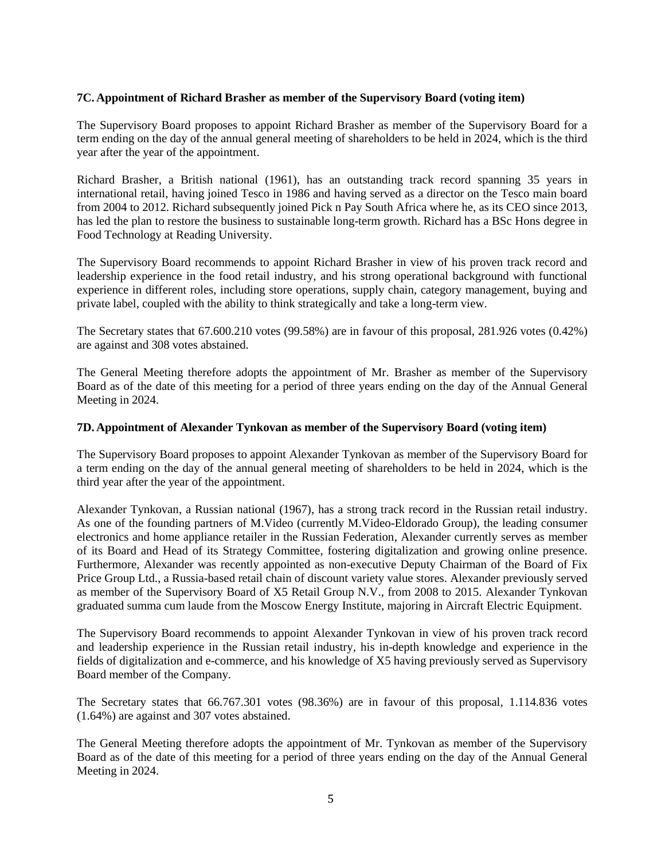# **7C. Appointment of Richard Brasher as member of the Supervisory Board (voting item)**

The Supervisory Board proposes to appoint Richard Brasher as member of the Supervisory Board for a term ending on the day of the annual general meeting of shareholders to be held in 2024, which is the third year after the year of the appointment.

Richard Brasher, a British national (1961), has an outstanding track record spanning 35 years in international retail, having joined Tesco in 1986 and having served as a director on the Tesco main board from 2004 to 2012. Richard subsequently joined Pick n Pay South Africa where he, as its CEO since 2013, has led the plan to restore the business to sustainable long-term growth. Richard has a BSc Hons degree in Food Technology at Reading University.

The Supervisory Board recommends to appoint Richard Brasher in view of his proven track record and leadership experience in the food retail industry, and his strong operational background with functional experience in different roles, including store operations, supply chain, category management, buying and private label, coupled with the ability to think strategically and take a long-term view.

The Secretary states that 67.600.210 votes (99.58%) are in favour of this proposal, 281.926 votes (0.42%) are against and 308 votes abstained.

The General Meeting therefore adopts the appointment of Mr. Brasher as member of the Supervisory Board as of the date of this meeting for a period of three years ending on the day of the Annual General Meeting in 2024.

#### **7D. Appointment of Alexander Tynkovan as member of the Supervisory Board (voting item)**

The Supervisory Board proposes to appoint Alexander Tynkovan as member of the Supervisory Board for a term ending on the day of the annual general meeting of shareholders to be held in 2024, which is the third year after the year of the appointment.

Alexander Tynkovan, a Russian national (1967), has a strong track record in the Russian retail industry. As one of the founding partners of M.Video (currently M.Video-Eldorado Group), the leading consumer electronics and home appliance retailer in the Russian Federation, Alexander currently serves as member of its Board and Head of its Strategy Committee, fostering digitalization and growing online presence. Furthermore, Alexander was recently appointed as non-executive Deputy Chairman of the Board of Fix Price Group Ltd., a Russia-based retail chain of discount variety value stores. Alexander previously served as member of the Supervisory Board of X5 Retail Group N.V., from 2008 to 2015. Alexander Tynkovan graduated summa cum laude from the Moscow Energy Institute, majoring in Aircraft Electric Equipment.

The Supervisory Board recommends to appoint Alexander Tynkovan in view of his proven track record and leadership experience in the Russian retail industry, his in-depth knowledge and experience in the fields of digitalization and e-commerce, and his knowledge of X5 having previously served as Supervisory Board member of the Company.

The Secretary states that 66.767.301 votes (98.36%) are in favour of this proposal, 1.114.836 votes (1.64%) are against and 307 votes abstained.

The General Meeting therefore adopts the appointment of Mr. Tynkovan as member of the Supervisory Board as of the date of this meeting for a period of three years ending on the day of the Annual General Meeting in 2024.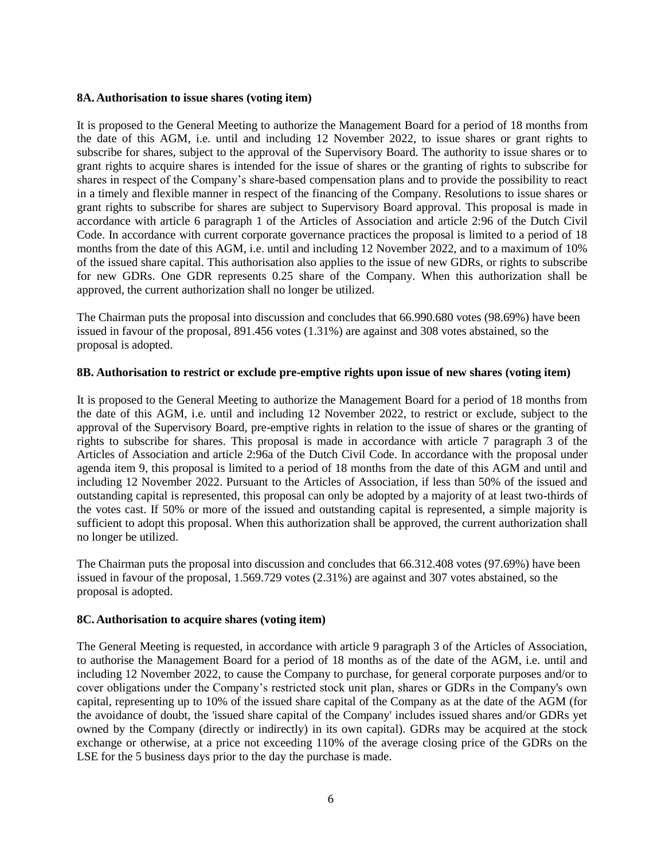#### **8A. Authorisation to issue shares (voting item)**

It is proposed to the General Meeting to authorize the Management Board for a period of 18 months from the date of this AGM, i.e. until and including 12 November 2022, to issue shares or grant rights to subscribe for shares, subject to the approval of the Supervisory Board. The authority to issue shares or to grant rights to acquire shares is intended for the issue of shares or the granting of rights to subscribe for shares in respect of the Company's share-based compensation plans and to provide the possibility to react in a timely and flexible manner in respect of the financing of the Company. Resolutions to issue shares or grant rights to subscribe for shares are subject to Supervisory Board approval. This proposal is made in accordance with article 6 paragraph 1 of the Articles of Association and article 2:96 of the Dutch Civil Code. In accordance with current corporate governance practices the proposal is limited to a period of 18 months from the date of this AGM, i.e. until and including 12 November 2022, and to a maximum of 10% of the issued share capital. This authorisation also applies to the issue of new GDRs, or rights to subscribe for new GDRs. One GDR represents 0.25 share of the Company. When this authorization shall be approved, the current authorization shall no longer be utilized.

The Chairman puts the proposal into discussion and concludes that 66.990.680 votes (98.69%) have been issued in favour of the proposal, 891.456 votes (1.31%) are against and 308 votes abstained, so the proposal is adopted.

#### **8B. Authorisation to restrict or exclude pre-emptive rights upon issue of new shares (voting item)**

It is proposed to the General Meeting to authorize the Management Board for a period of 18 months from the date of this AGM, i.e. until and including 12 November 2022, to restrict or exclude, subject to the approval of the Supervisory Board, pre-emptive rights in relation to the issue of shares or the granting of rights to subscribe for shares. This proposal is made in accordance with article 7 paragraph 3 of the Articles of Association and article 2:96a of the Dutch Civil Code. In accordance with the proposal under agenda item 9, this proposal is limited to a period of 18 months from the date of this AGM and until and including 12 November 2022. Pursuant to the Articles of Association, if less than 50% of the issued and outstanding capital is represented, this proposal can only be adopted by a majority of at least two-thirds of the votes cast. If 50% or more of the issued and outstanding capital is represented, a simple majority is sufficient to adopt this proposal. When this authorization shall be approved, the current authorization shall no longer be utilized.

The Chairman puts the proposal into discussion and concludes that 66.312.408 votes (97.69%) have been issued in favour of the proposal, 1.569.729 votes (2.31%) are against and 307 votes abstained, so the proposal is adopted.

# **8C. Authorisation to acquire shares (voting item)**

The General Meeting is requested, in accordance with article 9 paragraph 3 of the Articles of Association, to authorise the Management Board for a period of 18 months as of the date of the AGM, i.e. until and including 12 November 2022, to cause the Company to purchase, for general corporate purposes and/or to cover obligations under the Company's restricted stock unit plan, shares or GDRs in the Company's own capital, representing up to 10% of the issued share capital of the Company as at the date of the AGM (for the avoidance of doubt, the 'issued share capital of the Company' includes issued shares and/or GDRs yet owned by the Company (directly or indirectly) in its own capital). GDRs may be acquired at the stock exchange or otherwise, at a price not exceeding 110% of the average closing price of the GDRs on the LSE for the 5 business days prior to the day the purchase is made.